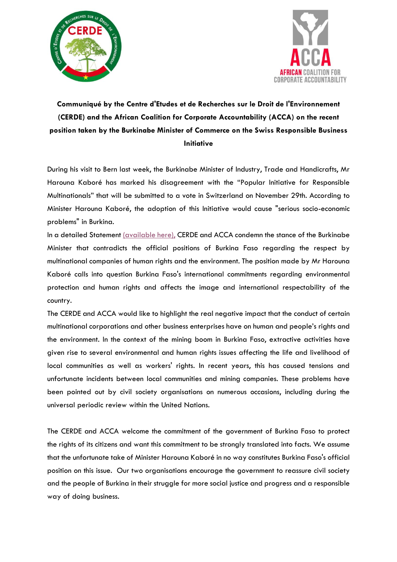



## **Communiqué by the Centre d'Etudes et de Recherches sur le Droit de l'Environnement (CERDE) and the African Coalition for Corporate Accountability (ACCA) on the recent position taken by the Burkinabe Minister of Commerce on the Swiss Responsible Business Initiative**

During his visit to Bern last week, the Burkinabe Minister of Industry, Trade and Handicrafts, Mr Harouna Kaboré has marked his disagreement with the "Popular Initiative for Responsible Multinationals" that will be submitted to a vote in Switzerland on November 29th. According to Minister Harouna Kaboré, the adoption of this Initiative would cause "serious socio-economic problems" in Burkina.

In a detailed Statement [\(available here\),](https://bit.ly/38XtzNQ) CERDE and ACCA condemn the stance of the Burkinabe Minister that contradicts the official positions of Burkina Faso regarding the respect by multinational companies of human rights and the environment. The position made by Mr Harouna Kaboré calls into question Burkina Faso's international commitments regarding environmental protection and human rights and affects the image and international respectability of the country.

The CERDE and ACCA would like to highlight the real negative impact that the conduct of certain multinational corporations and other business enterprises have on human and people's rights and the environment. In the context of the mining boom in Burkina Faso, extractive activities have given rise to several environmental and human rights issues affecting the life and livelihood of local communities as well as workers' rights. In recent years, this has caused tensions and unfortunate incidents between local communities and mining companies. These problems have been pointed out by civil society organisations on numerous occasions, including during the universal periodic review within the United Nations.

The CERDE and ACCA welcome the commitment of the government of Burkina Faso to protect the rights of its citizens and want this commitment to be strongly translated into facts. We assume that the unfortunate take of Minister Harouna Kaboré in no way constitutes Burkina Faso's official position on this issue. Our two organisations encourage the government to reassure civil society and the people of Burkina in their struggle for more social justice and progress and a responsible way of doing business.